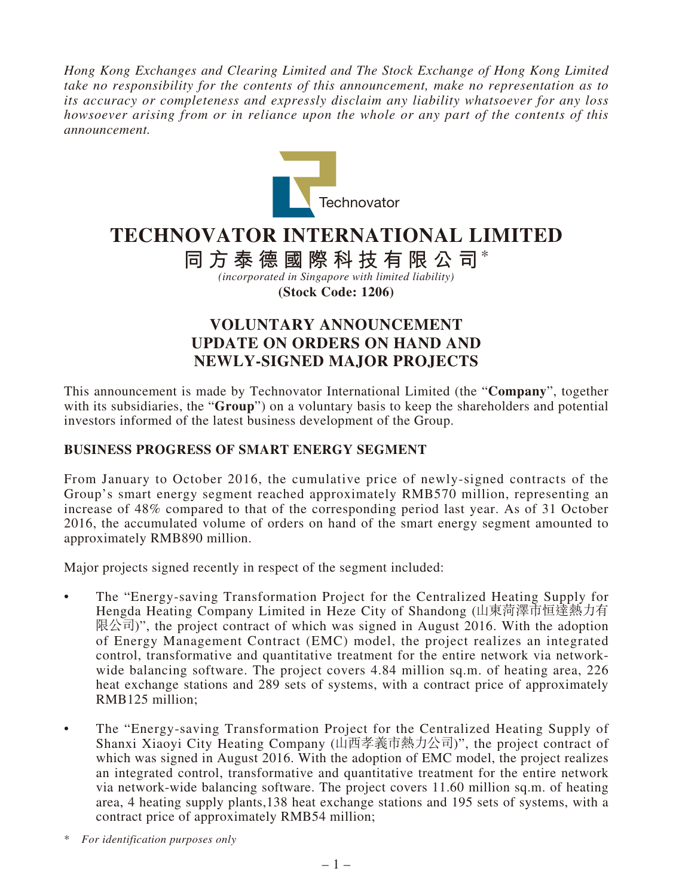*Hong Kong Exchanges and Clearing Limited and The Stock Exchange of Hong Kong Limited take no responsibility for the contents of this announcement, make no representation as to its accuracy or completeness and expressly disclaim any liability whatsoever for any loss howsoever arising from or in reliance upon the whole or any part of the contents of this announcement.*



# **TECHNOVATOR INTERNATIONAL LIMITED**

**同方泰德國際科技有限公司**\*

*(incorporated in Singapore with limited liability)* **(Stock Code: 1206)**

## **VOLUNTARY ANNOUNCEMENT UPDATE ON ORDERS ON HAND AND NEWLY-SIGNED MAJOR PROJECTS**

This announcement is made by Technovator International Limited (the "**Company**", together with its subsidiaries, the "**Group**") on a voluntary basis to keep the shareholders and potential investors informed of the latest business development of the Group.

#### **BUSINESS PROGRESS OF SMART ENERGY SEGMENT**

From January to October 2016, the cumulative price of newly-signed contracts of the Group's smart energy segment reached approximately RMB570 million, representing an increase of 48% compared to that of the corresponding period last year. As of 31 October 2016, the accumulated volume of orders on hand of the smart energy segment amounted to approximately RMB890 million.

Major projects signed recently in respect of the segment included:

- The "Energy-saving Transformation Project for the Centralized Heating Supply for Hengda Heating Company Limited in Heze City of Shandong (山東菏澤市恒達熱力有 限公司)", the project contract of which was signed in August 2016. With the adoption of Energy Management Contract (EMC) model, the project realizes an integrated control, transformative and quantitative treatment for the entire network via networkwide balancing software. The project covers 4.84 million sq.m. of heating area, 226 heat exchange stations and 289 sets of systems, with a contract price of approximately RMB125 million;
- The "Energy-saving Transformation Project for the Centralized Heating Supply of Shanxi Xiaoyi City Heating Company (山西孝義市熱力公司)", the project contract of which was signed in August 2016. With the adoption of EMC model, the project realizes an integrated control, transformative and quantitative treatment for the entire network via network-wide balancing software. The project covers 11.60 million sq.m. of heating area, 4 heating supply plants,138 heat exchange stations and 195 sets of systems, with a contract price of approximately RMB54 million;

\* *For identification purposes only*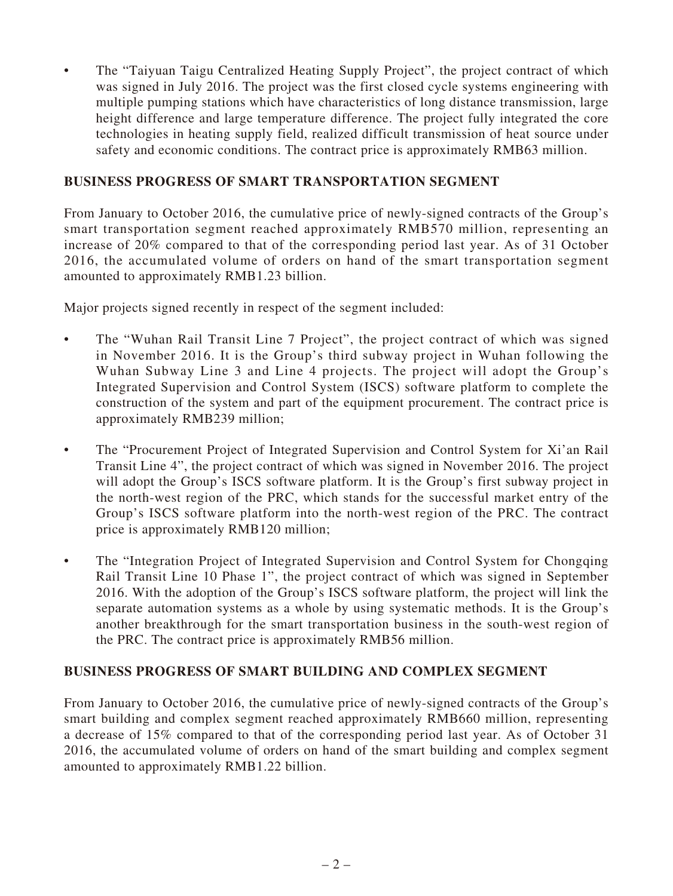• The "Taiyuan Taigu Centralized Heating Supply Project", the project contract of which was signed in July 2016. The project was the first closed cycle systems engineering with multiple pumping stations which have characteristics of long distance transmission, large height difference and large temperature difference. The project fully integrated the core technologies in heating supply field, realized difficult transmission of heat source under safety and economic conditions. The contract price is approximately RMB63 million.

#### **BUSINESS PROGRESS OF SMART TRANSPORTATION SEGMENT**

From January to October 2016, the cumulative price of newly-signed contracts of the Group's smart transportation segment reached approximately RMB570 million, representing an increase of 20% compared to that of the corresponding period last year. As of 31 October 2016, the accumulated volume of orders on hand of the smart transportation segment amounted to approximately RMB1.23 billion.

Major projects signed recently in respect of the segment included:

- The "Wuhan Rail Transit Line 7 Project", the project contract of which was signed in November 2016. It is the Group's third subway project in Wuhan following the Wuhan Subway Line 3 and Line 4 projects. The project will adopt the Group's Integrated Supervision and Control System (ISCS) software platform to complete the construction of the system and part of the equipment procurement. The contract price is approximately RMB239 million;
- The "Procurement Project of Integrated Supervision and Control System for Xi'an Rail Transit Line 4", the project contract of which was signed in November 2016. The project will adopt the Group's ISCS software platform. It is the Group's first subway project in the north-west region of the PRC, which stands for the successful market entry of the Group's ISCS software platform into the north-west region of the PRC. The contract price is approximately RMB120 million;
- The "Integration Project of Integrated Supervision and Control System for Chongqing Rail Transit Line 10 Phase 1", the project contract of which was signed in September 2016. With the adoption of the Group's ISCS software platform, the project will link the separate automation systems as a whole by using systematic methods. It is the Group's another breakthrough for the smart transportation business in the south-west region of the PRC. The contract price is approximately RMB56 million.

### **BUSINESS PROGRESS OF SMART BUILDING AND COMPLEX SEGMENT**

From January to October 2016, the cumulative price of newly-signed contracts of the Group's smart building and complex segment reached approximately RMB660 million, representing a decrease of 15% compared to that of the corresponding period last year. As of October 31 2016, the accumulated volume of orders on hand of the smart building and complex segment amounted to approximately RMB1.22 billion.